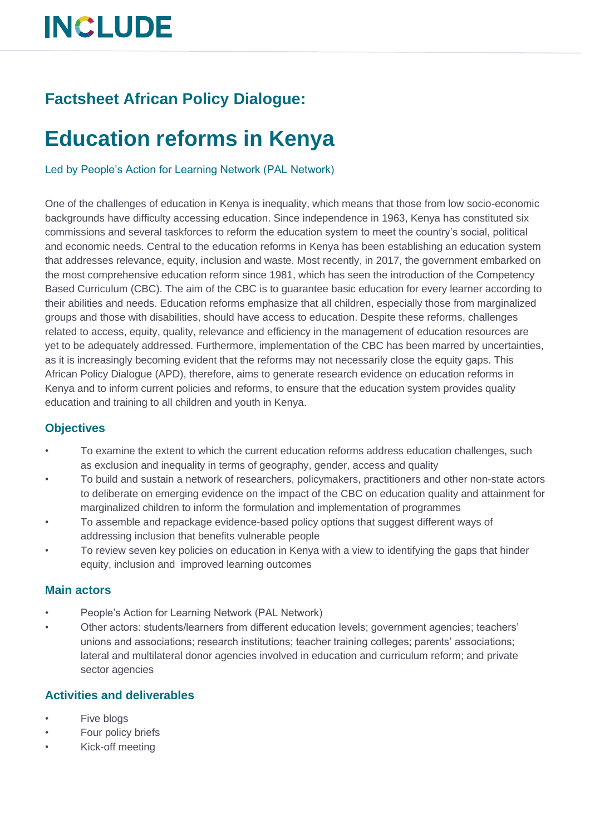## **INCLUDE**

### **Factsheet African Policy Dialogue:**

### **Education reforms in Kenya**

Led by People's Action for Learning Network (PAL Network)

One of the challenges of education in Kenya is inequality, which means that those from low socio-economic backgrounds have difficulty accessing education. Since independence in 1963, Kenya has constituted six commissions and several taskforces to reform the education system to meet the country's social, political and economic needs. Central to the education reforms in Kenya has been establishing an education system that addresses relevance, equity, inclusion and waste. Most recently, in 2017, the government embarked on the most comprehensive education reform since 1981, which has seen the introduction of the Competency Based Curriculum (CBC). The aim of the CBC is to guarantee basic education for every learner according to their abilities and needs. Education reforms emphasize that all children, especially those from marginalized groups and those with disabilities, should have access to education. Despite these reforms, challenges related to access, equity, quality, relevance and efficiency in the management of education resources are yet to be adequately addressed. Furthermore, implementation of the CBC has been marred by uncertainties, as it is increasingly becoming evident that the reforms may not necessarily close the equity gaps. This African Policy Dialogue (APD), therefore, aims to generate research evidence on education reforms in Kenya and to inform current policies and reforms, to ensure that the education system provides quality education and training to all children and youth in Kenya.

#### **Objectives**

- To examine the extent to which the current education reforms address education challenges, such as exclusion and inequality in terms of geography, gender, access and quality
- To build and sustain a network of researchers, policymakers, practitioners and other non-state actors to deliberate on emerging evidence on the impact of the CBC on education quality and attainment for marginalized children to inform the formulation and implementation of programmes
- To assemble and repackage evidence-based policy options that suggest different ways of addressing inclusion that benefits vulnerable people
- To review seven key policies on education in Kenya with a view to identifying the gaps that hinder equity, inclusion and improved learning outcomes

#### **Main actors**

- People's Action for Learning Network (PAL Network)
- Other actors: students/learners from different education levels; government agencies; teachers' unions and associations; research institutions; teacher training colleges; parents' associations; lateral and multilateral donor agencies involved in education and curriculum reform; and private sector agencies

#### **Activities and deliverables**

- Five blogs
- Four policy briefs
- Kick-off meeting